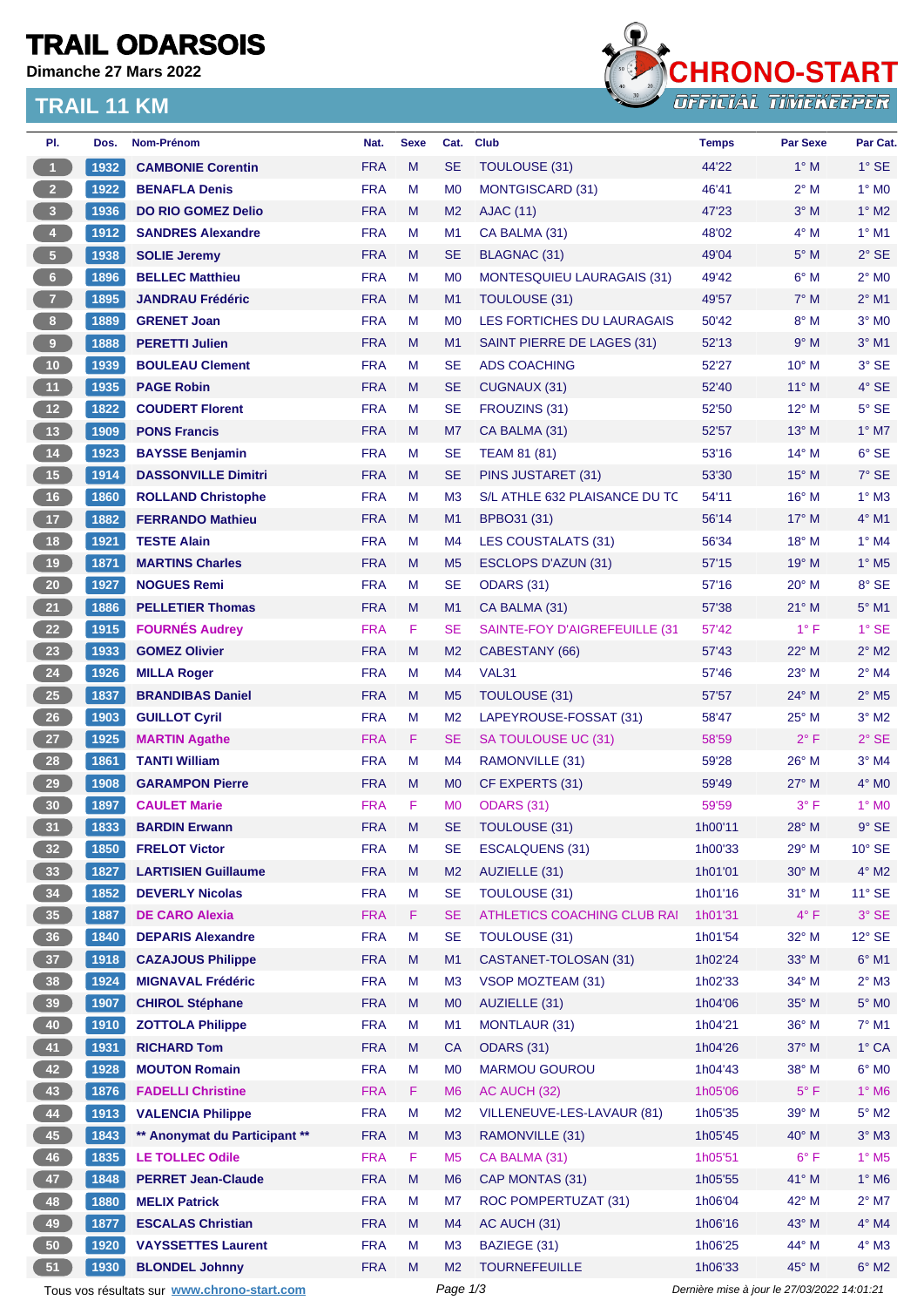### **TRAIL ODARSOIS**

**Dimanche 27 Mars 2022**

### **TRAIL 11 KM**



| PI.                                                                                                    | Dos. | Nom-Prénom                    | Nat.       | <b>Sexe</b> | Cat.           | <b>Club</b>                        | <b>Temps</b> | <b>Par Sexe</b> | Par Cat.                   |
|--------------------------------------------------------------------------------------------------------|------|-------------------------------|------------|-------------|----------------|------------------------------------|--------------|-----------------|----------------------------|
| $\mathbf{1}$                                                                                           | 1932 | <b>CAMBONIE Corentin</b>      | <b>FRA</b> | M           | <b>SE</b>      | TOULOUSE (31)                      | 44'22        | $1^\circ$ M     | $1^\circ$ SE               |
| 2 <sup>7</sup>                                                                                         | 1922 | <b>BENAFLA Denis</b>          | <b>FRA</b> | M           | M <sub>0</sub> | <b>MONTGISCARD (31)</b>            | 46'41        | $2^{\circ}$ M   | $1^\circ$ MO               |
| $\overline{\mathbf{3}}$                                                                                | 1936 | <b>DO RIO GOMEZ Delio</b>     | <b>FRA</b> | M           | M <sub>2</sub> | <b>AJAC (11)</b>                   | 47'23        | $3^\circ$ M     | $1^\circ$ M2               |
| $\overline{4}$                                                                                         | 1912 | <b>SANDRES Alexandre</b>      | <b>FRA</b> | M           | M <sub>1</sub> | CA BALMA (31)                      | 48'02        | $4^\circ$ M     | $1^\circ$ M1               |
| 5 <sub>1</sub>                                                                                         | 1938 | <b>SOLIE Jeremy</b>           | <b>FRA</b> | M           | <b>SE</b>      | <b>BLAGNAC (31)</b>                | 49'04        | $5^\circ$ M     | $2°$ SE                    |
| 6 <sup>1</sup>                                                                                         | 1896 | <b>BELLEC Matthieu</b>        | <b>FRA</b> | M           | M <sub>0</sub> | <b>MONTESQUIEU LAURAGAIS (31)</b>  | 49'42        | $6^\circ$ M     | $2^{\circ}$ MO             |
| 7 <sup>2</sup>                                                                                         | 1895 | <b>JANDRAU Frédéric</b>       | <b>FRA</b> | M           | M <sub>1</sub> | <b>TOULOUSE (31)</b>               | 49'57        | $7^\circ$ M     | $2^{\circ}$ M1             |
| 8 <sub>1</sub>                                                                                         | 1889 | <b>GRENET Joan</b>            | <b>FRA</b> | M           | M <sub>0</sub> | LES FORTICHES DU LAURAGAIS         | 50'42        | $8^\circ$ M     | $3°$ MO                    |
| $\boldsymbol{9}$                                                                                       | 1888 | <b>PERETTI Julien</b>         | <b>FRA</b> | M           | M1             | SAINT PIERRE DE LAGES (31)         | 52'13        | 9° M            | $3°$ M1                    |
| 10 <sub>1</sub>                                                                                        | 1939 | <b>BOULEAU Clement</b>        | <b>FRA</b> | M           | <b>SE</b>      | <b>ADS COACHING</b>                | 52'27        | $10^{\circ}$ M  | 3° SE                      |
| 11                                                                                                     | 1935 | <b>PAGE Robin</b>             | <b>FRA</b> | M           | <b>SE</b>      | CUGNAUX (31)                       | 52'40        | $11^{\circ}$ M  | $4°$ SE                    |
| $12$                                                                                                   | 1822 | <b>COUDERT Florent</b>        | <b>FRA</b> | м           | <b>SE</b>      | FROUZINS (31)                      | 52'50        | $12^{\circ}$ M  | $5^\circ$ SE               |
| 13                                                                                                     | 1909 | <b>PONS Francis</b>           | <b>FRA</b> | M           | M7             | CA BALMA (31)                      | 52'57        | $13^{\circ}$ M  | $1^\circ$ M7               |
| 14                                                                                                     | 1923 | <b>BAYSSE Benjamin</b>        | <b>FRA</b> | M           | <b>SE</b>      | <b>TEAM 81 (81)</b>                | 53'16        | $14^{\circ}$ M  | $6°$ SE                    |
| 15                                                                                                     | 1914 | <b>DASSONVILLE Dimitri</b>    | <b>FRA</b> | M           | <b>SE</b>      | PINS JUSTARET (31)                 | 53'30        | $15^{\circ}$ M  | $7°$ SE                    |
| 16                                                                                                     | 1860 | <b>ROLLAND Christophe</b>     | <b>FRA</b> | M           | M <sub>3</sub> | S/L ATHLE 632 PLAISANCE DU TC      | 54'11        | $16^{\circ}$ M  | $1^\circ$ M3               |
| 17                                                                                                     | 1882 | <b>FERRANDO Mathieu</b>       | <b>FRA</b> | M           | M1             | BPBO31 (31)                        | 56'14        | $17^{\circ}$ M  | $4°$ M1                    |
| 18                                                                                                     | 1921 | <b>TESTE Alain</b>            | <b>FRA</b> | М           | M4             | <b>LES COUSTALATS (31)</b>         | 56'34        | $18^{\circ}$ M  | $1^\circ$ M4               |
| 19                                                                                                     | 1871 | <b>MARTINS Charles</b>        | <b>FRA</b> | M           | M <sub>5</sub> | <b>ESCLOPS D'AZUN (31)</b>         | 57'15        | 19° M           | $1^\circ$ M <sub>5</sub>   |
| $20\,$                                                                                                 | 1927 | <b>NOGUES Remi</b>            | <b>FRA</b> | M           | <b>SE</b>      | ODARS (31)                         | 57'16        | $20^{\circ}$ M  | 8° SE                      |
| 21                                                                                                     | 1886 | <b>PELLETIER Thomas</b>       | <b>FRA</b> | M           | M1             | CA BALMA (31)                      | 57'38        | $21^{\circ}$ M  | $5^\circ$ M1               |
| 22                                                                                                     | 1915 | <b>FOURNÉS Audrey</b>         | <b>FRA</b> | F           | <b>SE</b>      | SAINTE-FOY D'AIGREFEUILLE (31      | 57'42        | $1^{\circ}$ F   | $1^\circ$ SE               |
| 23                                                                                                     | 1933 | <b>GOMEZ Olivier</b>          | <b>FRA</b> | M           | M <sub>2</sub> | CABESTANY (66)                     | 57'43        | $22^{\circ}$ M  | $2^{\circ}$ M2             |
| 24                                                                                                     | 1926 | <b>MILLA Roger</b>            | <b>FRA</b> | M           | M4             | <b>VAL31</b>                       | 57'46        | $23^\circ$ M    | $2^{\circ}$ M4             |
| 25                                                                                                     | 1837 | <b>BRANDIBAS Daniel</b>       | <b>FRA</b> | M           | M <sub>5</sub> | TOULOUSE (31)                      | 57'57        | 24° M           | $2^{\circ}$ M <sub>5</sub> |
| 26                                                                                                     | 1903 | <b>GUILLOT Cyril</b>          | <b>FRA</b> | M           | M <sub>2</sub> | LAPEYROUSE-FOSSAT (31)             | 58'47        | $25^{\circ}$ M  | $3°$ M2                    |
| 27                                                                                                     | 1925 | <b>MARTIN Agathe</b>          | <b>FRA</b> | F           | <b>SE</b>      | SA TOULOUSE UC (31)                | 58'59        | $2^{\circ}$ F   | $2°$ SE                    |
| 28                                                                                                     | 1861 | <b>TANTI William</b>          | <b>FRA</b> | M           | M4             | RAMONVILLE (31)                    | 59'28        | 26° M           | $3°$ M4                    |
| 29 <sub>o</sub>                                                                                        | 1908 | <b>GARAMPON Pierre</b>        | <b>FRA</b> | M           | M <sub>0</sub> | CF EXPERTS (31)                    | 59'49        | $27^\circ$ M    | $4^\circ$ MO               |
| 30                                                                                                     | 1897 | <b>CAULET Marie</b>           | <b>FRA</b> | F           | M <sub>0</sub> | <b>ODARS (31)</b>                  | 59'59        | 3° F            | $1^\circ$ MO               |
| 31                                                                                                     | 1833 | <b>BARDIN Erwann</b>          | <b>FRA</b> | M           | SE             | <b>TOULOUSE (31)</b>               | 1h00'11      | $28^{\circ}$ M  | $9°$ SE                    |
| 32 <sup>°</sup>                                                                                        | 1850 | <b>FRELOT Victor</b>          | <b>FRA</b> | M           | <b>SE</b>      | <b>ESCALQUENS (31)</b>             | 1h00'33      | 29° M           | $10^{\circ}$ SE            |
| 33 <sup>°</sup>                                                                                        | 1827 | <b>LARTISIEN Guillaume</b>    | <b>FRA</b> | M           | M <sub>2</sub> | AUZIELLE (31)                      | 1h01'01      | 30° M           | $4^\circ$ M2               |
| 34                                                                                                     | 1852 | <b>DEVERLY Nicolas</b>        | <b>FRA</b> | М           | <b>SE</b>      | TOULOUSE (31)                      | 1h01'16      | $31^\circ$ M    | $11^{\circ}$ SE            |
| 35                                                                                                     | 1887 | <b>DE CARO Alexia</b>         | <b>FRA</b> | F           | <b>SE</b>      | <b>ATHLETICS COACHING CLUB RAI</b> | 1h01'31      | $4^{\circ}$ F   | $3°$ SE                    |
| 36 <sup>°</sup>                                                                                        | 1840 | <b>DEPARIS Alexandre</b>      | <b>FRA</b> | M           | <b>SE</b>      | <b>TOULOUSE (31)</b>               | 1h01'54      | 32° M           | $12^{\circ}$ SE            |
| 37 <sup>°</sup>                                                                                        | 1918 | <b>CAZAJOUS Philippe</b>      | <b>FRA</b> | M           | M1             | CASTANET-TOLOSAN (31)              | 1h02'24      | 33° M           | $6^\circ$ M1               |
| 38                                                                                                     | 1924 | <b>MIGNAVAL Frédéric</b>      | <b>FRA</b> | M           | M <sub>3</sub> | VSOP MOZTEAM (31)                  | 1h02'33      | 34° M           | $2^{\circ}$ M3             |
| 39                                                                                                     | 1907 | <b>CHIROL Stéphane</b>        | <b>FRA</b> | M           | M <sub>0</sub> | AUZIELLE (31)                      | 1h04'06      | 35° M           | $5^\circ$ MO               |
| 40                                                                                                     | 1910 | <b>ZOTTOLA Philippe</b>       | <b>FRA</b> | M           | M1             | <b>MONTLAUR (31)</b>               | 1h04'21      | 36° M           | $7^\circ$ M1               |
| 41                                                                                                     | 1931 | <b>RICHARD Tom</b>            | <b>FRA</b> | M           | <b>CA</b>      | <b>ODARS (31)</b>                  | 1h04'26      | 37° M           | $1^\circ$ CA               |
| 42                                                                                                     | 1928 | <b>MOUTON Romain</b>          | <b>FRA</b> | M           | M <sub>0</sub> | <b>MARMOU GOUROU</b>               | 1h04'43      | 38° M           | $6^{\circ}$ MO             |
| 43                                                                                                     | 1876 | <b>FADELLI Christine</b>      | <b>FRA</b> | F           | M <sub>6</sub> | AC AUCH (32)                       | 1h05'06      | $5^{\circ}$ F   | $1^\circ$ M6               |
| 44                                                                                                     | 1913 | <b>VALENCIA Philippe</b>      | <b>FRA</b> | M           | M <sub>2</sub> | VILLENEUVE-LES-LAVAUR (81)         | 1h05'35      | 39° M           | $5^\circ$ M2               |
| 45                                                                                                     | 1843 | ** Anonymat du Participant ** | <b>FRA</b> | M           | M <sub>3</sub> | RAMONVILLE (31)                    | 1h05'45      | 40° M           | $3^\circ$ M3               |
| 46                                                                                                     | 1835 | <b>LE TOLLEC Odile</b>        | <b>FRA</b> | F           | M <sub>5</sub> | CA BALMA (31)                      | 1h05'51      | $6^{\circ}$ F   | $1^\circ$ M <sub>5</sub>   |
| 47                                                                                                     | 1848 | <b>PERRET Jean-Claude</b>     | <b>FRA</b> | M           | M <sub>6</sub> | CAP MONTAS (31)                    | 1h05'55      | 41° M           | $1^\circ$ M6               |
| 48                                                                                                     | 1880 | <b>MELIX Patrick</b>          | <b>FRA</b> | М           | M7             | ROC POMPERTUZAT (31)               | 1h06'04      | 42° M           | $2^{\circ}$ M7             |
| 49                                                                                                     | 1877 | <b>ESCALAS Christian</b>      | <b>FRA</b> | M           | M4             | AC AUCH (31)                       | 1h06'16      | 43° M           | $4^\circ$ M4               |
| 50                                                                                                     | 1920 | <b>VAYSSETTES Laurent</b>     | <b>FRA</b> | M           | M <sub>3</sub> | BAZIEGE (31)                       | 1h06'25      | 44° M           | $4^\circ$ M3               |
| 51                                                                                                     |      |                               | <b>FRA</b> | M           | M <sub>2</sub> | <b>TOURNEFEUILLE</b>               | 1h06'33      | 45° M           | $6^\circ$ M2               |
|                                                                                                        | 1930 | <b>BLONDEL Johnny</b>         |            |             |                |                                    |              |                 |                            |
| Page 1/3<br>Dernière mise à jour le 27/03/2022 14:01:21<br>Tous vos résultats sur www.chrono-start.com |      |                               |            |             |                |                                    |              |                 |                            |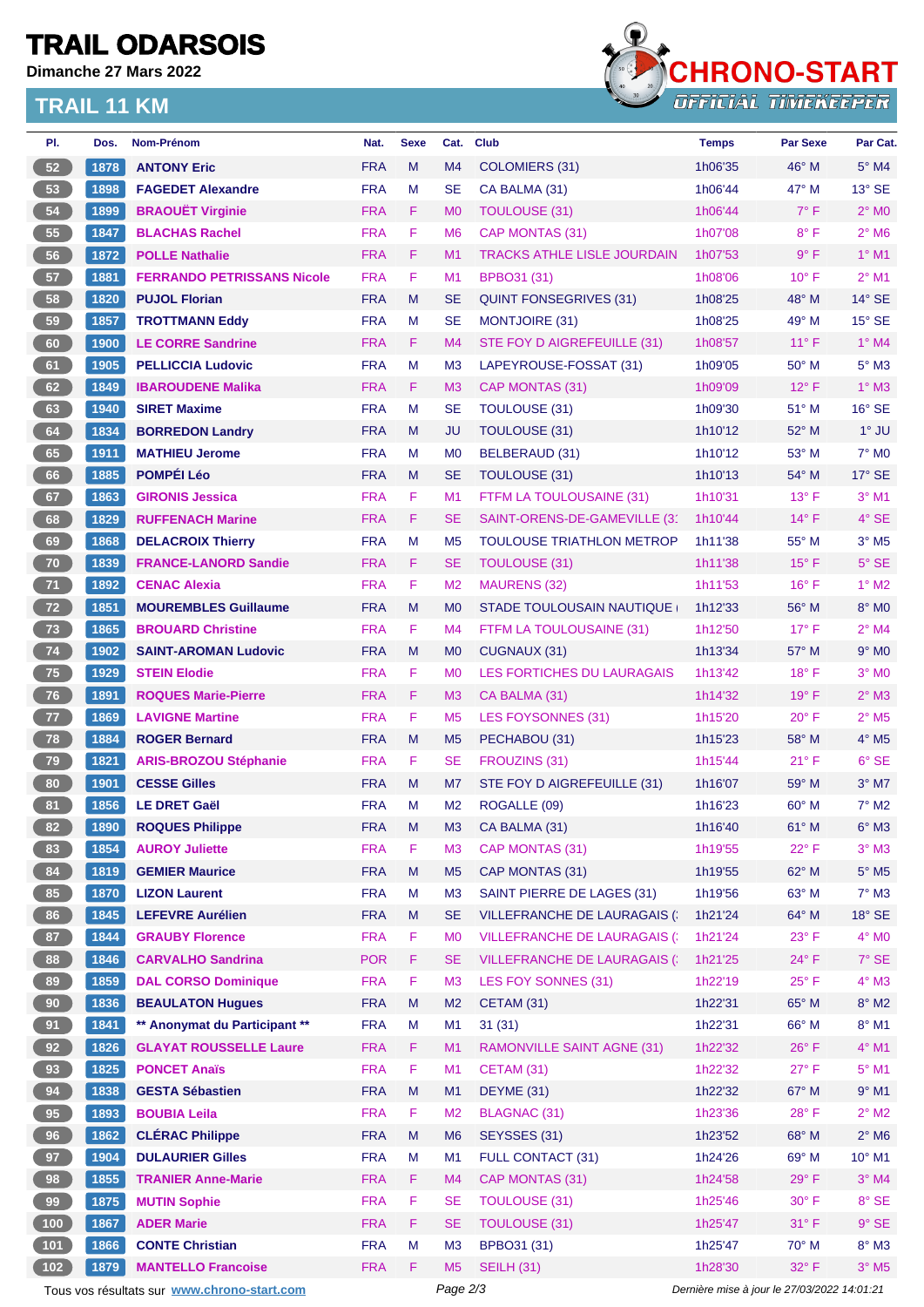# **TRAIL ODARSOIS**

**Dimanche 27 Mars 2022**

### **TRAIL 11 KM**



| PI.                                                                                                    | Dos. | Nom-Prénom                        | Nat.       | <b>Sexe</b> | Cat.           | <b>Club</b>                         | <b>Temps</b> | <b>Par Sexe</b> | Par Cat.                   |
|--------------------------------------------------------------------------------------------------------|------|-----------------------------------|------------|-------------|----------------|-------------------------------------|--------------|-----------------|----------------------------|
| 52                                                                                                     | 1878 | <b>ANTONY Eric</b>                | <b>FRA</b> | M           | M <sub>4</sub> | COLOMIERS (31)                      | 1h06'35      | 46° M           | $5^\circ$ M4               |
| 53                                                                                                     | 1898 | <b>FAGEDET Alexandre</b>          | <b>FRA</b> | м           | <b>SE</b>      | CA BALMA (31)                       | 1h06'44      | 47° M           | $13^\circ$ SE              |
| 54                                                                                                     | 1899 | <b>BRAOUËT Virginie</b>           | <b>FRA</b> | F           | M <sub>0</sub> | <b>TOULOUSE (31)</b>                | 1h06'44      | $7^\circ$ F     | $2^{\circ}$ MO             |
| 55                                                                                                     | 1847 | <b>BLACHAS Rachel</b>             | <b>FRA</b> | F           | M <sub>6</sub> | CAP MONTAS (31)                     | 1h07'08      | $8^{\circ}$ F   | $2°$ M <sub>6</sub>        |
| 56                                                                                                     | 1872 | <b>POLLE Nathalie</b>             | <b>FRA</b> | F.          | M1             | <b>TRACKS ATHLE LISLE JOURDAIN</b>  | 1h07'53      | $9^{\circ}$ F   | $1°$ M1                    |
| 57                                                                                                     | 1881 | <b>FERRANDO PETRISSANS Nicole</b> | <b>FRA</b> | F           | M <sub>1</sub> | BPBO31 (31)                         | 1h08'06      | $10^{\circ}$ F  | $2^{\circ}$ M1             |
| 58                                                                                                     | 1820 | <b>PUJOL Florian</b>              | <b>FRA</b> | M           | <b>SE</b>      | <b>QUINT FONSEGRIVES (31)</b>       | 1h08'25      | 48° M           | $14^{\circ}$ SE            |
| 59                                                                                                     | 1857 | <b>TROTTMANN Eddy</b>             | <b>FRA</b> | M           | <b>SE</b>      | <b>MONTJOIRE (31)</b>               | 1h08'25      | 49° M           | $15^\circ$ SE              |
| 60                                                                                                     | 1900 | <b>LE CORRE Sandrine</b>          | <b>FRA</b> | F.          | M <sub>4</sub> | STE FOY D AIGREFEUILLE (31)         | 1h08'57      | $11^{\circ}$ F  | $1°$ M4                    |
| 61                                                                                                     | 1905 | <b>PELLICCIA Ludovic</b>          | <b>FRA</b> | M           | M <sub>3</sub> | LAPEYROUSE-FOSSAT (31)              | 1h09'05      | $50^\circ$ M    | $5^\circ$ M3               |
| 62                                                                                                     | 1849 | <b>IBAROUDENE Malika</b>          | <b>FRA</b> | F.          | M <sub>3</sub> | CAP MONTAS (31)                     | 1h09'09      | $12^{\circ}$ F  | $1^\circ$ M3               |
| 63                                                                                                     | 1940 | <b>SIRET Maxime</b>               | <b>FRA</b> | M           | <b>SE</b>      | <b>TOULOUSE (31)</b>                | 1h09'30      | 51° M           | $16^\circ$ SE              |
| 64                                                                                                     | 1834 | <b>BORREDON Landry</b>            | <b>FRA</b> | M           | <b>JU</b>      | <b>TOULOUSE (31)</b>                | 1h10'12      | 52° M           | $1^\circ$ JU               |
| 65                                                                                                     | 1911 | <b>MATHIEU Jerome</b>             | <b>FRA</b> | м           | M <sub>0</sub> | BELBERAUD (31)                      | 1h10'12      | 53° M           | $7°$ MO                    |
| 66                                                                                                     | 1885 | <b>POMPÉI Léo</b>                 | <b>FRA</b> | M           | <b>SE</b>      | <b>TOULOUSE (31)</b>                | 1h10'13      | 54° M           | $17^\circ$ SE              |
| 67                                                                                                     | 1863 | <b>GIRONIS Jessica</b>            | <b>FRA</b> | F           | M1             | FTFM LA TOULOUSAINE (31)            | 1h10'31      | $13^{\circ}$ F  | $3°$ M1                    |
| 68                                                                                                     | 1829 | <b>RUFFENACH Marine</b>           | <b>FRA</b> | F.          | <b>SE</b>      | SAINT-ORENS-DE-GAMEVILLE (3)        | 1h10'44      | $14^{\circ}$ F  | $4°$ SE                    |
| 69                                                                                                     | 1868 | <b>DELACROIX Thierry</b>          | <b>FRA</b> | M           | M <sub>5</sub> | TOULOUSE TRIATHLON METROP           | 1h11'38      | 55° M           | $3°$ M <sub>5</sub>        |
| 70                                                                                                     | 1839 | <b>FRANCE-LANORD Sandie</b>       | <b>FRA</b> | F           | <b>SE</b>      | <b>TOULOUSE (31)</b>                | 1h11'38      | $15^{\circ}$ F  | $5^\circ$ SE               |
| 71                                                                                                     | 1892 | <b>CENAC Alexia</b>               | <b>FRA</b> | F           | M <sub>2</sub> | <b>MAURENS (32)</b>                 | 1h11'53      | $16^{\circ}$ F  | $1^\circ$ M2               |
| 72                                                                                                     | 1851 | <b>MOUREMBLES Guillaume</b>       | <b>FRA</b> | M           | M <sub>0</sub> | STADE TOULOUSAIN NAUTIQUE           | 1h12'33      | 56° M           | $8^\circ$ MO               |
| 73                                                                                                     | 1865 | <b>BROUARD Christine</b>          | <b>FRA</b> | F           | M <sub>4</sub> | FTFM LA TOULOUSAINE (31)            | 1h12'50      | $17^{\circ}$ F  | $2°$ M4                    |
| 74                                                                                                     | 1902 | <b>SAINT-AROMAN Ludovic</b>       | <b>FRA</b> | M           | M <sub>0</sub> | CUGNAUX (31)                        | 1h13'34      | 57° M           | $9°$ MO                    |
| 75                                                                                                     | 1929 | <b>STEIN Elodie</b>               | <b>FRA</b> | F           | M <sub>0</sub> | <b>LES FORTICHES DU LAURAGAIS</b>   | 1h13'42      | $18^{\circ}$ F  | $3°$ MO                    |
| 76                                                                                                     | 1891 | <b>ROQUES Marie-Pierre</b>        | <b>FRA</b> | F           | M <sub>3</sub> | CA BALMA (31)                       | 1h14'32      | $19^{\circ}$ F  | $2^{\circ}$ M3             |
| 77                                                                                                     | 1869 | <b>LAVIGNE Martine</b>            | <b>FRA</b> | F           | M <sub>5</sub> | <b>LES FOYSONNES (31)</b>           | 1h15'20      | $20^{\circ}$ F  | $2^{\circ}$ M <sub>5</sub> |
| 78                                                                                                     | 1884 | <b>ROGER Bernard</b>              | <b>FRA</b> | M           | M <sub>5</sub> | PECHABOU (31)                       | 1h15'23      | 58° M           | $4^\circ$ M <sub>5</sub>   |
| 79                                                                                                     | 1821 | <b>ARIS-BROZOU Stéphanie</b>      | <b>FRA</b> | F.          | <b>SE</b>      | FROUZINS (31)                       | 1h15'44      | $21^{\circ}$ F  | $6°$ SE                    |
| 80                                                                                                     | 1901 | <b>CESSE Gilles</b>               | <b>FRA</b> | M           | M7             | STE FOY D AIGREFEUILLE (31)         | 1h16'07      | 59° M           | $3°$ M7                    |
| 81                                                                                                     | 1856 | <b>LE DRET Gaël</b>               | <b>FRA</b> | M           | M <sub>2</sub> | ROGALLE (09)                        | 1h16'23      | $60^\circ$ M    | $7^\circ$ M2               |
| 82                                                                                                     | 1890 | <b>ROQUES Philippe</b>            | <b>FRA</b> | M           | M <sub>3</sub> | CA BALMA (31)                       | 1h16'40      | 61° M           | $6^\circ$ M3               |
| 83                                                                                                     | 1854 | <b>AUROY Juliette</b>             | <b>FRA</b> | F           | M <sub>3</sub> | CAP MONTAS (31)                     | 1h19'55      | $22^{\circ}$ F  | $3^\circ$ M3               |
| 84                                                                                                     | 1819 | <b>GEMIER Maurice</b>             | <b>FRA</b> | M           | M <sub>5</sub> | CAP MONTAS (31)                     | 1h19'55      | 62° M           | $5^\circ$ M5               |
| 85                                                                                                     | 1870 | <b>LIZON Laurent</b>              | <b>FRA</b> | M           | M <sub>3</sub> | SAINT PIERRE DE LAGES (31)          | 1h19'56      | 63° M           | $7^\circ$ M3               |
| 86                                                                                                     | 1845 | <b>LEFEVRE Aurélien</b>           | <b>FRA</b> | M           | <b>SE</b>      | <b>VILLEFRANCHE DE LAURAGAIS (</b>  | 1h21'24      | 64° M           | $18^\circ$ SE              |
| 87                                                                                                     | 1844 | <b>GRAUBY Florence</b>            | <b>FRA</b> | F           | M <sub>0</sub> | <b>VILLEFRANCHE DE LAURAGAIS (:</b> | 1h21'24      | $23^{\circ}$ F  | $4^\circ$ MO               |
| 88                                                                                                     | 1846 | <b>CARVALHO Sandrina</b>          | <b>POR</b> | F           | <b>SE</b>      | <b>VILLEFRANCHE DE LAURAGAIS (:</b> | 1h21'25      | $24^{\circ}$ F  | $7^\circ$ SE               |
| 89                                                                                                     | 1859 | <b>DAL CORSO Dominique</b>        | <b>FRA</b> | F           | M <sub>3</sub> | LES FOY SONNES (31)                 | 1h22'19      | $25^{\circ}$ F  | $4^\circ$ M3               |
| 90                                                                                                     | 1836 | <b>BEAULATON Hugues</b>           | <b>FRA</b> | M           | M <sub>2</sub> | CETAM (31)                          | 1h22'31      | 65° M           | $8^\circ$ M2               |
| 91                                                                                                     | 1841 | ** Anonymat du Participant **     | <b>FRA</b> | M           | M1             | 31(31)                              | 1h22'31      | 66° M           | 8° M1                      |
| 92                                                                                                     | 1826 | <b>GLAYAT ROUSSELLE Laure</b>     | <b>FRA</b> | F.          | M <sub>1</sub> | <b>RAMONVILLE SAINT AGNE (31)</b>   | 1h22'32      | $26^{\circ}$ F  | $4^\circ$ M1               |
| 93                                                                                                     | 1825 | <b>PONCET Anaïs</b>               | <b>FRA</b> | F           | M1             | CETAM (31)                          | 1h22'32      | 27°F            | $5^{\circ}$ M1             |
| 94                                                                                                     | 1838 | <b>GESTA Sébastien</b>            | <b>FRA</b> | M           | M1             | DEYME (31)                          | 1h22'32      | 67° M           | $9^\circ$ M1               |
| 95                                                                                                     | 1893 | <b>BOUBIA Leila</b>               | <b>FRA</b> | F           | M <sub>2</sub> |                                     | 1h23'36      | 28°F            | $2^{\circ}$ M2             |
| 96                                                                                                     | 1862 | <b>CLÉRAC Philippe</b>            | <b>FRA</b> | M           | M <sub>6</sub> | <b>BLAGNAC (31)</b><br>SEYSSES (31) | 1h23'52      | 68° M           | $2^{\circ}$ M6             |
|                                                                                                        |      | <b>DULAURIER Gilles</b>           | <b>FRA</b> | M           | M1             | <b>FULL CONTACT (31)</b>            | 1h24'26      | 69° M           | $10^{\circ}$ M1            |
| 97                                                                                                     | 1904 |                                   |            |             |                |                                     |              |                 |                            |
| 98                                                                                                     | 1855 | <b>TRANIER Anne-Marie</b>         | <b>FRA</b> | F           | M <sub>4</sub> | CAP MONTAS (31)                     | 1h24'58      | $29°$ F         | $3°$ M4                    |
| 99                                                                                                     | 1875 | <b>MUTIN Sophie</b>               | <b>FRA</b> | F           | <b>SE</b>      | <b>TOULOUSE (31)</b>                | 1h25'46      | $30^\circ$ F    | $8^{\circ}$ SE             |
| (100)                                                                                                  | 1867 | <b>ADER Marie</b>                 | <b>FRA</b> | F           | <b>SE</b>      | <b>TOULOUSE (31)</b>                | 1h25'47      | 31° F           | $9°$ SE                    |
| 101                                                                                                    | 1866 | <b>CONTE Christian</b>            | <b>FRA</b> | M           | M <sub>3</sub> | <b>BPBO31 (31)</b>                  | 1h25'47      | $70^\circ$ M    | $8^\circ$ M3               |
| (102)                                                                                                  | 1879 | <b>MANTELLO Francoise</b>         | <b>FRA</b> | F.          | M <sub>5</sub> | <b>SEILH (31)</b>                   | 1h28'30      | 32° F           | $3^\circ$ M5               |
| Tous vos résultats sur www.chrono-start.com<br>Page 2/3<br>Dernière mise à jour le 27/03/2022 14:01:21 |      |                                   |            |             |                |                                     |              |                 |                            |